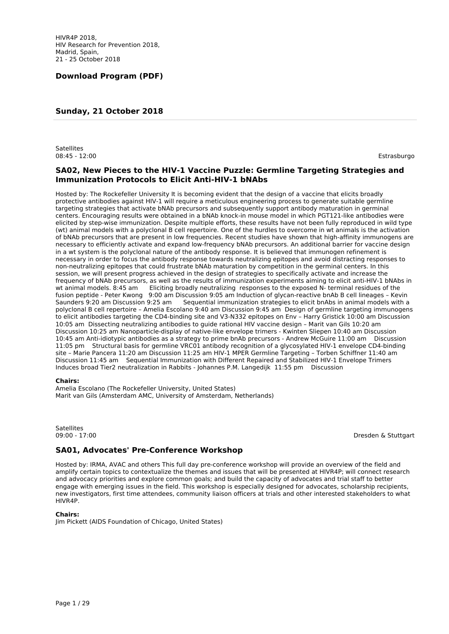# **Sunday, 21 October 2018**

**Satellites** 08:45 - 12:00 Estrasburgo

## **SA02, New Pieces to the HIV-1 Vaccine Puzzle: Germline Targeting Strategies and Immunization Protocols to Elicit Anti-HIV-1 bNAbs**

Hosted by: The Rockefeller University It is becoming evident that the design of a vaccine that elicits broadly protective antibodies against HIV-1 will require a meticulous engineering process to generate suitable germline targeting strategies that activate bNAb precursors and subsequently support antibody maturation in germinal centers. Encouraging results were obtained in a bNAb knock-in mouse model in which PGT121-like antibodies were elicited by step-wise immunization. Despite multiple efforts, these results have not been fully reproduced in wild type (wt) animal models with a polyclonal B cell repertoire. One of the hurdles to overcome in wt animals is the activation of bNAb precursors that are present in low frequencies. Recent studies have shown that high-affinity immunogens are necessary to efficiently activate and expand low-frequency bNAb precursors. An additional barrier for vaccine design in a wt system is the polyclonal nature of the antibody response. It is believed that immunogen refinement is necessary in order to focus the antibody response towards neutralizing epitopes and avoid distracting responses to non-neutralizing epitopes that could frustrate bNAb maturation by competition in the germinal centers. In this session, we will present progress achieved in the design of strategies to specifically activate and increase the frequency of bNAb precursors, as well as the results of immunization experiments aiming to elicit anti-HIV-1 bNAbs in wt animal models. 8:45 am Eliciting broadly neutralizing responses to the exposed N- terminal residues of the fusion peptide - Peter Kwong 9:00 am Discussion 9:05 am Induction of glycan-reactive bnAb B cell lineages – Kevin Saunders 9:20 am Discussion 9:25 am Sequential immunization strategies to elicit bnAbs in animal models with a polyclonal B cell repertoire – Amelia Escolano 9:40 am Discussion 9:45 am Design of germline targeting immunogens to elicit antibodies targeting the CD4-binding site and V3-N332 epitopes on Env – Harry Gristick 10:00 am Discussion 10:05 am Dissecting neutralizing antibodies to guide rational HIV vaccine design – Marit van Gils 10:20 am Discussion 10:25 am Nanoparticle-display of native-like envelope trimers - Kwinten Sliepen 10:40 am Discussion 10:45 am Anti-idiotypic antibodies as a strategy to prime bnAb precursors - Andrew McGuire 11:00 am Discussion 11:05 pm Structural basis for germline VRC01 antibody recognition of a glycosylated HIV-1 envelope CD4-binding site – Marie Pancera 11:20 am Discussion 11:25 am HIV-1 MPER Germline Targeting – Torben Schiffner 11:40 am Discussion 11:45 am Sequential Immunization with Different Repaired and Stabilized HIV-1 Envelope Trimers Induces broad Tier2 neutralization in Rabbits - Johannes P.M. Langedijk 11:55 pm Discussion

#### **Chairs:**

Amelia Escolano (The Rockefeller University, United States) Marit van Gils (Amsterdam AMC, University of Amsterdam, Netherlands)

Satellites<br>09:00 - 17:00

Dresden & Stuttgart

## **SA01, Advocates' Pre-Conference Workshop**

Hosted by: IRMA, AVAC and others This full day pre-conference workshop will provide an overview of the field and amplify certain topics to contextualize the themes and issues that will be presented at HIVR4P; will connect research and advocacy priorities and explore common goals; and build the capacity of advocates and trial staff to better engage with emerging issues in the field. This workshop is especially designed for advocates, scholarship recipients, new investigators, first time attendees, community liaison officers at trials and other interested stakeholders to what HIVR4P.

#### **Chairs:**

Jim Pickett (AIDS Foundation of Chicago, United States)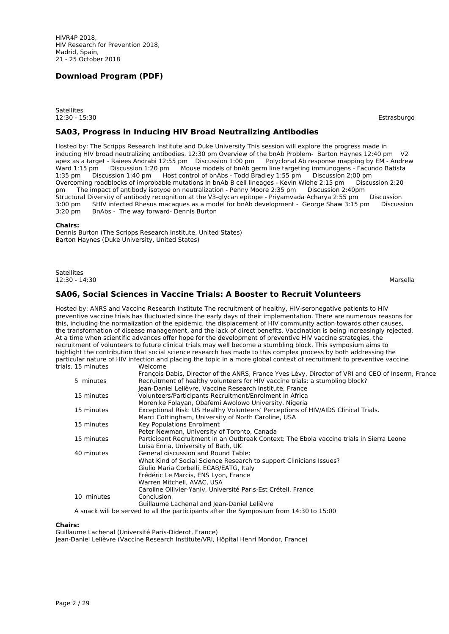**Satellites** 12:30 - 15:30 Estrasburgo

#### **SA03, Progress in Inducing HIV Broad Neutralizing Antibodies**

Hosted by: The Scripps Research Institute and Duke University This session will explore the progress made in inducing HIV broad neutralizing antibodies. 12:30 pm Overview of the bnAb Problem- Barton Haynes 12:40 pm V2 apex as a target - Raiees Andrabi 12:55 pm Discussion 1:00 pm Polyclonal Ab response mapping by EM - Andrew Ward 1:15 pm Discussion 1:20 pm Mouse models of bnAb germ line targeting immunogens - Facundo Batista 1:35 pm Discussion 1:40 pm Host control of bnAbs - Todd Bradley 1:55 pm Discussion 2:00 pm Overcoming roadblocks of improbable mutations in bnAb B cell lineages - Kevin Wiehe 2:15 pm pm The impact of antibody isotype on neutralization - Penny Moore 2:35 pm Discussion 2:40pm Structural Diversity of antibody recognition at the V3-glycan epitope - Priyamvada Acharya 2:55 pm Discussion 3:00 pm SHIV infected Rhesus macaques as a model for bnAb development - George Shaw 3:15 pm Discussion<br>3:20 pm BnAbs - The way forward- Dennis Burton BnAbs - The way forward- Dennis Burton

#### **Chairs:**

Dennis Burton (The Scripps Research Institute, United States) Barton Haynes (Duke University, United States)

Satellites<br>12:30 - 14:30 12:30 - 14:30 Marsella

## **SA06, Social Sciences in Vaccine Trials: A Booster to Recruit Volunteers**

Hosted by: ANRS and Vaccine Research Institute The recruitment of healthy, HIV-seronegative patients to HIV preventive vaccine trials has fluctuated since the early days of their implementation. There are numerous reasons for this, including the normalization of the epidemic, the displacement of HIV community action towards other causes, the transformation of disease management, and the lack of direct benefits. Vaccination is being increasingly rejected. At a time when scientific advances offer hope for the development of preventive HIV vaccine strategies, the recruitment of volunteers to future clinical trials may well become a stumbling block. This symposium aims to highlight the contribution that social science research has made to this complex process by both addressing the particular nature of HIV infection and placing the topic in a more global context of recruitment to preventive vaccine<br>trials 15 minutes Melcome trials. 15 minutes

| ta mundes  | <u>WEILUHE</u>                                                                                    |
|------------|---------------------------------------------------------------------------------------------------|
|            | François Dabis, Director of the ANRS, France Yves Lévy, Director of VRI and CEO of Inserm, France |
| 5 minutes  | Recruitment of healthy volunteers for HIV vaccine trials: a stumbling block?                      |
|            | Jean-Daniel Lelièvre, Vaccine Research Institute, France                                          |
| 15 minutes | Volunteers/Participants Recruitment/Enrolment in Africa                                           |
|            | Morenike Folayan, Obafemi Awolowo University, Nigeria                                             |
| 15 minutes | Exceptional Risk: US Healthy Volunteers' Perceptions of HIV/AIDS Clinical Trials.                 |
|            | Marci Cottingham, University of North Caroline, USA                                               |
| 15 minutes | Key Populations Enrolment                                                                         |
|            | Peter Newman, University of Toronto, Canada                                                       |
| 15 minutes | Participant Recruitment in an Outbreak Context: The Ebola vaccine trials in Sierra Leone          |
|            | Luisa Enria, University of Bath, UK                                                               |
| 40 minutes | General discussion and Round Table:                                                               |
|            | What Kind of Social Science Research to support Clinicians Issues?                                |
|            | Giulio Maria Corbelli, ECAB/EATG, Italy                                                           |
|            | Frédéric Le Marcis, ENS Lyon, France                                                              |
|            | Warren Mitchell, AVAC, USA                                                                        |
|            | Caroline Ollivier-Yaniv, Université Paris-Est Créteil, France                                     |
| 10 minutes | Conclusion                                                                                        |
|            | Guillaume Lachenal and Jean-Daniel Lelièvre                                                       |
|            | A snack will be served to all the participants after the Symposium from 14:30 to 15:00            |
|            |                                                                                                   |

#### **Chairs:**

Guillaume Lachenal (Université Paris-Diderot, France) Jean-Daniel Lelièvre (Vaccine Research Institute/VRI, Hôpital Henri Mondor, France)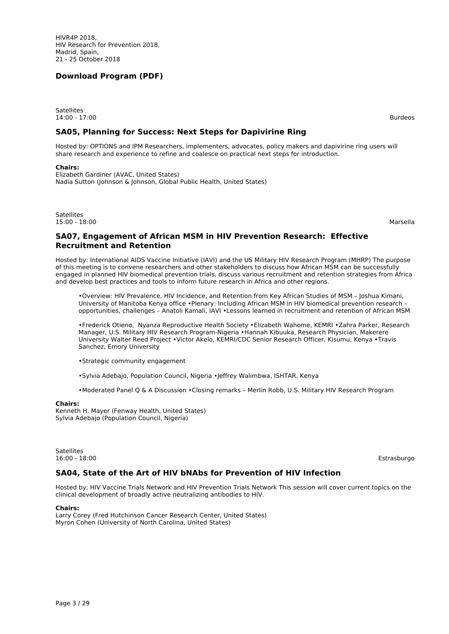**Satellites** 14:00 - 17:00 Burdeos

**SA05, Planning for Success: Next Steps for Dapivirine Ring**

Hosted by: OPTIONS and IPM Researchers, implementers, advocates, policy makers and dapivirine ring users will share research and experience to refine and coalesce on practical next steps for introduction.

#### **Chairs:**

Elizabeth Gardiner (AVAC, United States) Nadia Sutton (Johnson & Johnson, Global Public Health, United States)

Satellites<br>15:00 - 18:00 15:00 - 18:00 Marsella

## **SA07, Engagement of African MSM in HIV Prevention Research: Effective Recruitment and Retention**

Hosted by: International AIDS Vaccine Initiative (IAVI) and the US Military HIV Research Program (MHRP) The purpose of this meeting is to convene researchers and other stakeholders to discuss how African MSM can be successfully engaged in planned HIV biomedical prevention trials, discuss various recruitment and retention strategies from Africa and develop best practices and tools to inform future research in Africa and other regions.

•Overview: HIV Prevalence, HIV Incidence, and Retention from Key African Studies of MSM – Joshua Kimani, University of Manitoba Kenya office •Plenary: Including African MSM in HIV biomedical prevention research – opportunities, challenges – Anatoli Kamali, IAVI •Lessons learned in recruitment and retention of African MSM

•Frederick Otieno, Nyanza Reproductive Health Society •Elizabeth Wahome, KEMRI •Zahra Parker, Research Manager, U.S. Military HIV Research Program-Nigeria •Hannah Kibuuka, Research Physician, Makerere University Walter Reed Project •Victor Akelo, KEMRI/CDC Senior Research Officer, Kisumu, Kenya •Travis Sanchez, Emory University

•Strategic community engagement

•Sylvia Adebajo, Population Council, Nigeria •Jeffrey Walimbwa, ISHTAR, Kenya

•Moderated Panel Q & A Discussion •Closing remarks – Merlin Robb, U.S. Military HIV Research Program

#### **Chairs:**

Kenneth H. Mayer (Fenway Health, United States) Sylvia Adebajo (Population Council, Nigeria)

Satellites<br>16:00 - 18:00 16:00 - 18:00 Estrasburgo

#### **SA04, State of the Art of HIV bNAbs for Prevention of HIV Infection**

Hosted by: HIV Vaccine Trials Network and HIV Prevention Trials Network This session will cover current topics on the clinical development of broadly active neutralizing antibodies to HIV.

#### **Chairs:**

Larry Corey (Fred Hutchinson Cancer Research Center, United States) Myron Cohen (University of North Carolina, United States)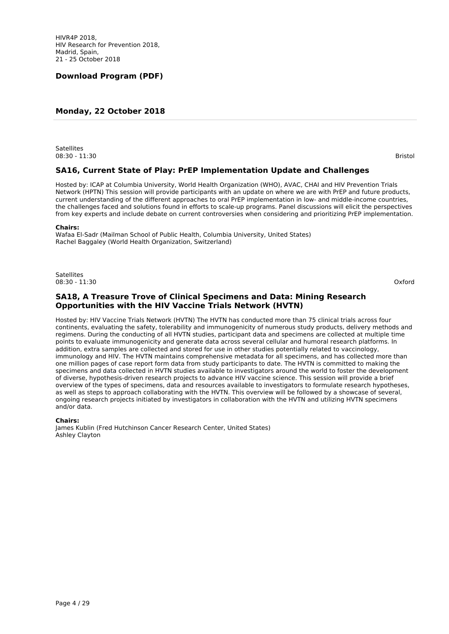## **Monday, 22 October 2018**

**Satellites** 08:30 - 11:30 Bristol

## **SA16, Current State of Play: PrEP Implementation Update and Challenges**

Hosted by: ICAP at Columbia University, World Health Organization (WHO), AVAC, CHAI and HIV Prevention Trials Network (HPTN) This session will provide participants with an update on where we are with PrEP and future products, current understanding of the different approaches to oral PrEP implementation in low- and middle-income countries, the challenges faced and solutions found in efforts to scale-up programs. Panel discussions will elicit the perspectives from key experts and include debate on current controversies when considering and prioritizing PrEP implementation.

#### **Chairs:**

Wafaa El-Sadr (Mailman School of Public Health, Columbia University, United States) Rachel Baggaley (World Health Organization, Switzerland)

**Satellites** 08:30 - 11:30 Oxford

## **SA18, A Treasure Trove of Clinical Specimens and Data: Mining Research Opportunities with the HIV Vaccine Trials Network (HVTN)**

Hosted by: HIV Vaccine Trials Network (HVTN) The HVTN has conducted more than 75 clinical trials across four continents, evaluating the safety, tolerability and immunogenicity of numerous study products, delivery methods and regimens. During the conducting of all HVTN studies, participant data and specimens are collected at multiple time points to evaluate immunogenicity and generate data across several cellular and humoral research platforms. In addition, extra samples are collected and stored for use in other studies potentially related to vaccinology, immunology and HIV. The HVTN maintains comprehensive metadata for all specimens, and has collected more than one million pages of case report form data from study participants to date. The HVTN is committed to making the specimens and data collected in HVTN studies available to investigators around the world to foster the development of diverse, hypothesis-driven research projects to advance HIV vaccine science. This session will provide a brief overview of the types of specimens, data and resources available to investigators to formulate research hypotheses, as well as steps to approach collaborating with the HVTN. This overview will be followed by a showcase of several, ongoing research projects initiated by investigators in collaboration with the HVTN and utilizing HVTN specimens and/or data.

#### **Chairs:**

James Kublin (Fred Hutchinson Cancer Research Center, United States) Ashley Clayton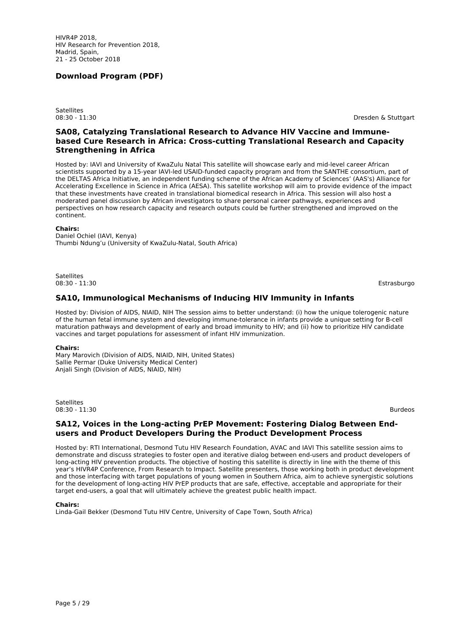**Satellites** 

08:30 - 11:30 Dresden & Stuttgart

## **SA08, Catalyzing Translational Research to Advance HIV Vaccine and Immunebased Cure Research in Africa: Cross-cutting Translational Research and Capacity Strengthening in Africa**

Hosted by: IAVI and University of KwaZulu Natal This satellite will showcase early and mid-level career African scientists supported by a 15-year IAVI-led USAID-funded capacity program and from the SANTHE consortium, part of the DELTAS Africa Initiative, an independent funding scheme of the African Academy of Sciences' (AAS's) Alliance for Accelerating Excellence in Science in Africa (AESA). This satellite workshop will aim to provide evidence of the impact that these investments have created in translational biomedical research in Africa. This session will also host a moderated panel discussion by African investigators to share personal career pathways, experiences and perspectives on how research capacity and research outputs could be further strengthened and improved on the continent.

#### **Chairs:**

Daniel Ochiel (IAVI, Kenya) Thumbi Ndung'u (University of KwaZulu-Natal, South Africa)

**Satellites** 08:30 - 11:30 Estrasburgo

## **SA10, Immunological Mechanisms of Inducing HIV Immunity in Infants**

Hosted by: Division of AIDS, NIAID, NIH The session aims to better understand: (i) how the unique tolerogenic nature of the human fetal immune system and developing immune-tolerance in infants provide a unique setting for B-cell maturation pathways and development of early and broad immunity to HIV; and (ii) how to prioritize HIV candidate vaccines and target populations for assessment of infant HIV immunization.

#### **Chairs:**

Mary Marovich (Division of AIDS, NIAID, NIH, United States) Sallie Permar (Duke University Medical Center) Anjali Singh (Division of AIDS, NIAID, NIH)

**Satellites** 08:30 - 11:30 Burdeos

#### **SA12, Voices in the Long-acting PrEP Movement: Fostering Dialog Between Endusers and Product Developers During the Product Development Process**

Hosted by: RTI International, Desmond Tutu HIV Research Foundation, AVAC and IAVI This satellite session aims to demonstrate and discuss strategies to foster open and iterative dialog between end-users and product developers of long-acting HIV prevention products. The objective of hosting this satellite is directly in line with the theme of this year's HIVR4P Conference, From Research to Impact. Satellite presenters, those working both in product development and those interfacing with target populations of young women in Southern Africa, aim to achieve synergistic solutions for the development of long-acting HIV PrEP products that are safe, effective, acceptable and appropriate for their target end-users, a goal that will ultimately achieve the greatest public health impact.

#### **Chairs:**

Linda-Gail Bekker (Desmond Tutu HIV Centre, University of Cape Town, South Africa)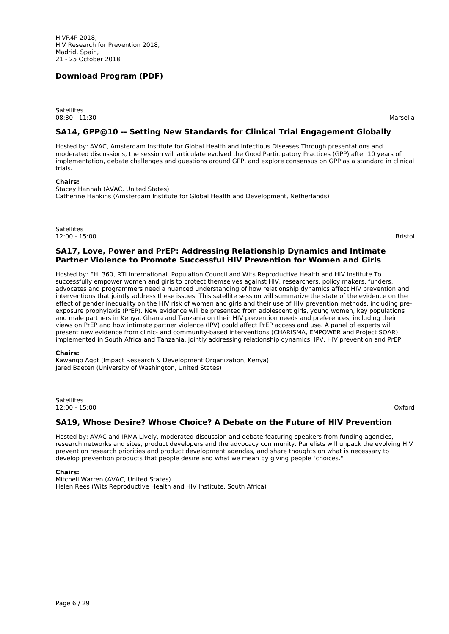**Satellites** 08:30 - 11:30 Marsella

## **SA14, GPP@10 -- Setting New Standards for Clinical Trial Engagement Globally**

Hosted by: AVAC, Amsterdam Institute for Global Health and Infectious Diseases Through presentations and moderated discussions, the session will articulate evolved the Good Participatory Practices (GPP) after 10 years of implementation, debate challenges and questions around GPP, and explore consensus on GPP as a standard in clinical trials.

#### **Chairs:**

Stacey Hannah (AVAC, United States) Catherine Hankins (Amsterdam Institute for Global Health and Development, Netherlands)

Satellites<br>12:00 - 15:00 12:00 - 15:00 Bristol

## **SA17, Love, Power and PrEP: Addressing Relationship Dynamics and Intimate Partner Violence to Promote Successful HIV Prevention for Women and Girls**

Hosted by: FHI 360, RTI International, Population Council and Wits Reproductive Health and HIV Institute To successfully empower women and girls to protect themselves against HIV, researchers, policy makers, funders, advocates and programmers need a nuanced understanding of how relationship dynamics affect HIV prevention and interventions that jointly address these issues. This satellite session will summarize the state of the evidence on the effect of gender inequality on the HIV risk of women and girls and their use of HIV prevention methods, including preexposure prophylaxis (PrEP). New evidence will be presented from adolescent girls, young women, key populations and male partners in Kenya, Ghana and Tanzania on their HIV prevention needs and preferences, including their views on PrEP and how intimate partner violence (IPV) could affect PrEP access and use. A panel of experts will present new evidence from clinic- and community-based interventions (CHARISMA, EMPOWER and Project SOAR) implemented in South Africa and Tanzania, jointly addressing relationship dynamics, IPV, HIV prevention and PrEP.

#### **Chairs:**

Kawango Agot (Impact Research & Development Organization, Kenya) Jared Baeten (University of Washington, United States)

**Satellites** 12:00 - 15:00 Oxford

#### **SA19, Whose Desire? Whose Choice? A Debate on the Future of HIV Prevention**

Hosted by: AVAC and IRMA Lively, moderated discussion and debate featuring speakers from funding agencies, research networks and sites, product developers and the advocacy community. Panelists will unpack the evolving HIV prevention research priorities and product development agendas, and share thoughts on what is necessary to develop prevention products that people desire and what we mean by giving people "choices."

#### **Chairs:**

Mitchell Warren (AVAC, United States) Helen Rees (Wits Reproductive Health and HIV Institute, South Africa)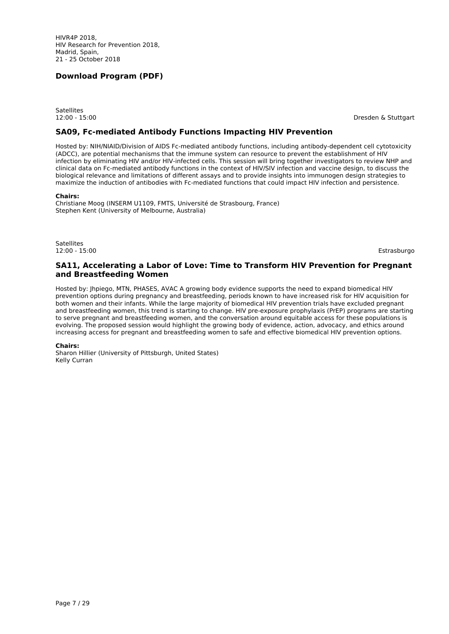**Satellites** 

12:00 - 15:00 Dresden & Stuttgart

#### **SA09, Fc-mediated Antibody Functions Impacting HIV Prevention**

Hosted by: NIH/NIAID/Division of AIDS Fc-mediated antibody functions, including antibody-dependent cell cytotoxicity (ADCC), are potential mechanisms that the immune system can resource to prevent the establishment of HIV infection by eliminating HIV and/or HIV-infected cells. This session will bring together investigators to review NHP and clinical data on Fc-mediated antibody functions in the context of HIV/SIV infection and vaccine design, to discuss the biological relevance and limitations of different assays and to provide insights into immunogen design strategies to maximize the induction of antibodies with Fc-mediated functions that could impact HIV infection and persistence.

#### **Chairs:**

Christiane Moog (INSERM U1109, FMTS, Université de Strasbourg, France) Stephen Kent (University of Melbourne, Australia)

Satellites 12:00 - 15:00 Estrasburgo

#### **SA11, Accelerating a Labor of Love: Time to Transform HIV Prevention for Pregnant and Breastfeeding Women**

Hosted by: Jhpiego, MTN, PHASES, AVAC A growing body evidence supports the need to expand biomedical HIV prevention options during pregnancy and breastfeeding, periods known to have increased risk for HIV acquisition for both women and their infants. While the large majority of biomedical HIV prevention trials have excluded pregnant and breastfeeding women, this trend is starting to change. HIV pre-exposure prophylaxis (PrEP) programs are starting to serve pregnant and breastfeeding women, and the conversation around equitable access for these populations is evolving. The proposed session would highlight the growing body of evidence, action, advocacy, and ethics around increasing access for pregnant and breastfeeding women to safe and effective biomedical HIV prevention options.

#### **Chairs:**

Sharon Hillier (University of Pittsburgh, United States) Kelly Curran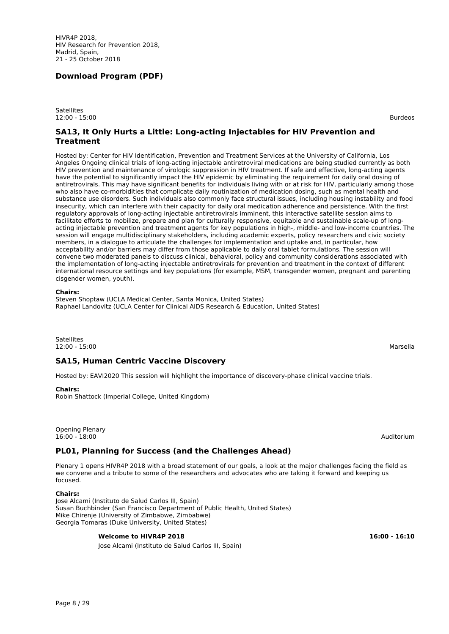HIVR4P 2018, HIV Research for Prevention 2018, Madrid, Spain, 21 - 25 October 2018

## **Download Program (PDF)**

**Satellites** 12:00 - 15:00 Burdeos

#### **SA13, It Only Hurts a Little: Long-acting Injectables for HIV Prevention and Treatment**

Hosted by: Center for HIV Identification, Prevention and Treatment Services at the University of California, Los Angeles Ongoing clinical trials of long-acting injectable antiretroviral medications are being studied currently as both HIV prevention and maintenance of virologic suppression in HIV treatment. If safe and effective, long-acting agents have the potential to significantly impact the HIV epidemic by eliminating the requirement for daily oral dosing of antiretrovirals. This may have significant benefits for individuals living with or at risk for HIV, particularly among those who also have co-morbidities that complicate daily routinization of medication dosing, such as mental health and substance use disorders. Such individuals also commonly face structural issues, including housing instability and food insecurity, which can interfere with their capacity for daily oral medication adherence and persistence. With the first regulatory approvals of long-acting injectable antiretrovirals imminent, this interactive satellite session aims to facilitate efforts to mobilize, prepare and plan for culturally responsive, equitable and sustainable scale-up of longacting injectable prevention and treatment agents for key populations in high-, middle- and low-income countries. The session will engage multidisciplinary stakeholders, including academic experts, policy researchers and civic society members, in a dialogue to articulate the challenges for implementation and uptake and, in particular, how acceptability and/or barriers may differ from those applicable to daily oral tablet formulations. The session will convene two moderated panels to discuss clinical, behavioral, policy and community considerations associated with the implementation of long-acting injectable antiretrovirals for prevention and treatment in the context of different international resource settings and key populations (for example, MSM, transgender women, pregnant and parenting cisgender women, youth).

#### **Chairs:**

Steven Shoptaw (UCLA Medical Center, Santa Monica, United States) Raphael Landovitz (UCLA Center for Clinical AIDS Research & Education, United States)

**Satellites** 12:00 - 15:00 Marsella

## **SA15, Human Centric Vaccine Discovery**

Hosted by: EAVI2020 This session will highlight the importance of discovery-phase clinical vaccine trials.

#### **Chairs:**

Robin Shattock (Imperial College, United Kingdom)

Opening Plenary 16:00 - 18:00 Auditorium

## **PL01, Planning for Success (and the Challenges Ahead)**

Plenary 1 opens HIVR4P 2018 with a broad statement of our goals, a look at the major challenges facing the field as we convene and a tribute to some of the researchers and advocates who are taking it forward and keeping us focused.

#### **Chairs:**

Jose Alcami (Instituto de Salud Carlos III, Spain) Susan Buchbinder (San Francisco Department of Public Health, United States) Mike Chirenje (University of Zimbabwe, Zimbabwe) Georgia Tomaras (Duke University, United States)

#### **Welcome to HIVR4P 2018 16:00 - 16:10**

Jose Alcami (Instituto de Salud Carlos III, Spain)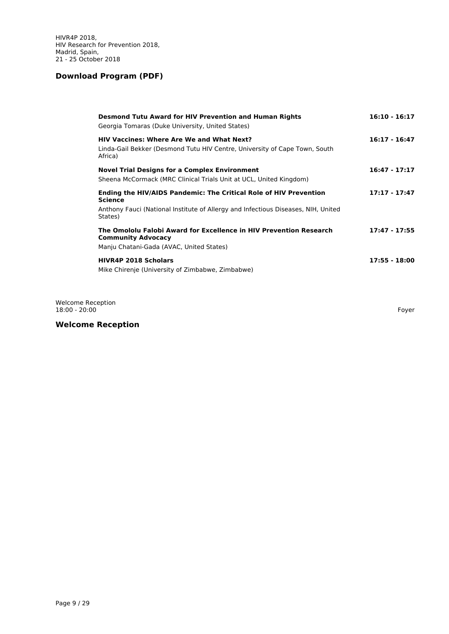| <b>Desmond Tutu Award for HIV Prevention and Human Rights</b><br>Georgia Tomaras (Duke University, United States)                                                                   | $16:10 - 16:17$ |
|-------------------------------------------------------------------------------------------------------------------------------------------------------------------------------------|-----------------|
| <b>HIV Vaccines: Where Are We and What Next?</b><br>Linda-Gail Bekker (Desmond Tutu HIV Centre, University of Cape Town, South<br>Africa)                                           | $16:17 - 16:47$ |
| <b>Novel Trial Designs for a Complex Environment</b><br>Sheena McCormack (MRC Clinical Trials Unit at UCL, United Kingdom)                                                          | $16:47 - 17:17$ |
| <b>Ending the HIV/AIDS Pandemic: The Critical Role of HIV Prevention</b><br>Science<br>Anthony Fauci (National Institute of Allergy and Infectious Diseases, NIH, United<br>States) | 17:17 - 17:47   |
| The Omololu Falobi Award for Excellence in HIV Prevention Research<br><b>Community Advocacy</b><br>Manju Chatani-Gada (AVAC, United States)                                         | $17:47 - 17:55$ |
| <b>HIVR4P 2018 Scholars</b><br>Mike Chirenje (University of Zimbabwe, Zimbabwe)                                                                                                     | 17:55 - 18:00   |

Welcome Reception 18:00 - 20:00 Foyer

# **Welcome Reception**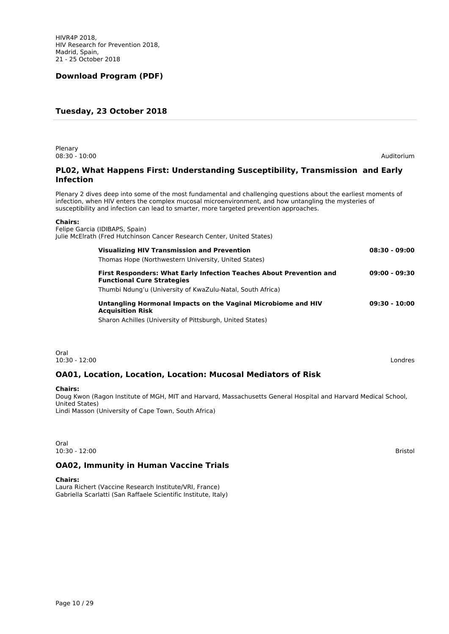## **Tuesday, 23 October 2018**

Plenary 08:30 - 10:00 Auditorium

## **PL02, What Happens First: Understanding Susceptibility, Transmission and Early Infection**

Plenary 2 dives deep into some of the most fundamental and challenging questions about the earliest moments of infection, when HIV enters the complex mucosal microenvironment, and how untangling the mysteries of susceptibility and infection can lead to smarter, more targeted prevention approaches.

#### **Chairs:**

| Felipe Garcia (IDIBAPS, Spain)<br>Julie McElrath (Fred Hutchinson Cancer Research Center, United States)        |                 |
|-----------------------------------------------------------------------------------------------------------------|-----------------|
| <b>Visualizing HIV Transmission and Prevention</b><br>Thomas Hope (Northwestern University, United States)      | $08:30 - 09:00$ |
| <b>First Responders: What Early Infection Teaches About Prevention and</b><br><b>Functional Cure Strategies</b> | $09:00 - 09:30$ |
| Thumbi Ndung'u (University of KwaZulu-Natal, South Africa)                                                      |                 |
| Untangling Hormonal Impacts on the Vaginal Microbiome and HIV<br><b>Acquisition Risk</b>                        | 09:30 - 10:00   |
| Sharon Achilles (University of Pittsburgh, United States)                                                       |                 |
|                                                                                                                 |                 |

Oral<br>10:30 - 12:00 10:30 - 12:00 Londres

## **OA01, Location, Location, Location: Mucosal Mediators of Risk**

#### **Chairs:**

Doug Kwon (Ragon Institute of MGH, MIT and Harvard, Massachusetts General Hospital and Harvard Medical School, United States) Lindi Masson (University of Cape Town, South Africa)

Oral 10:30 - 12:00 Bristol

## **OA02, Immunity in Human Vaccine Trials**

#### **Chairs:**

Laura Richert (Vaccine Research Institute/VRI, France) Gabriella Scarlatti (San Raffaele Scientific Institute, Italy)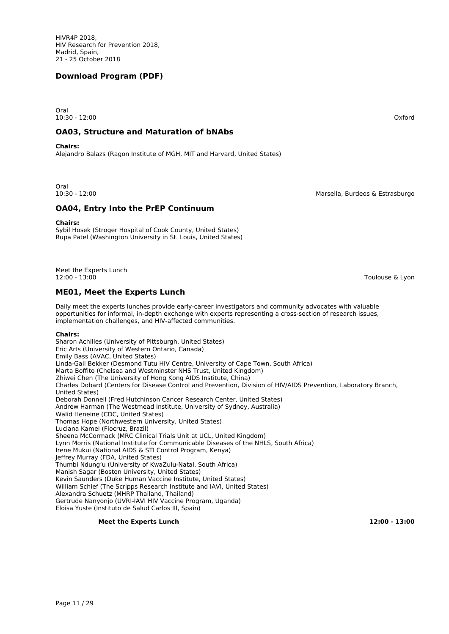Oral 10:30 - 12:00 Oxford

#### **OA03, Structure and Maturation of bNAbs**

**Chairs:**

Alejandro Balazs (Ragon Institute of MGH, MIT and Harvard, United States)

Oral<br>10:30 - 12:00

Marsella, Burdeos & Estrasburgo

Toulouse & Lyon

## **OA04, Entry Into the PrEP Continuum**

**Chairs:**

Sybil Hosek (Stroger Hospital of Cook County, United States) Rupa Patel (Washington University in St. Louis, United States)

Meet the Experts Lunch<br>12:00 - 13:00

## **ME01, Meet the Experts Lunch**

Daily meet the experts lunches provide early-career investigators and community advocates with valuable opportunities for informal, in-depth exchange with experts representing a cross-section of research issues, implementation challenges, and HIV-affected communities.

#### **Chairs:**

Sharon Achilles (University of Pittsburgh, United States) Eric Arts (University of Western Ontario, Canada) Emily Bass (AVAC, United States) Linda-Gail Bekker (Desmond Tutu HIV Centre, University of Cape Town, South Africa) Marta Boffito (Chelsea and Westminster NHS Trust, United Kingdom) Zhiwei Chen (The University of Hong Kong AIDS Institute, China) Charles Dobard (Centers for Disease Control and Prevention, Division of HIV/AIDS Prevention, Laboratory Branch, United States) Deborah Donnell (Fred Hutchinson Cancer Research Center, United States) Andrew Harman (The Westmead Institute, University of Sydney, Australia) Walid Heneine (CDC, United States) Thomas Hope (Northwestern University, United States) Luciana Kamel (Fiocruz, Brazil) Sheena McCormack (MRC Clinical Trials Unit at UCL, United Kingdom) Lynn Morris (National Institute for Communicable Diseases of the NHLS, South Africa) Irene Mukui (National AIDS & STI Control Program, Kenya) Jeffrey Murray (FDA, United States) Thumbi Ndung'u (University of KwaZulu-Natal, South Africa) Manish Sagar (Boston University, United States) Kevin Saunders (Duke Human Vaccine Institute, United States) William Schief (The Scripps Research Institute and IAVI, United States) Alexandra Schuetz (MHRP Thailand, Thailand) Gertrude Nanyonjo (UVRI-IAVI HIV Vaccine Program, Uganda) Eloisa Yuste (Instituto de Salud Carlos III, Spain)

#### **Meet the Experts Lunch 12:00 - 13:00**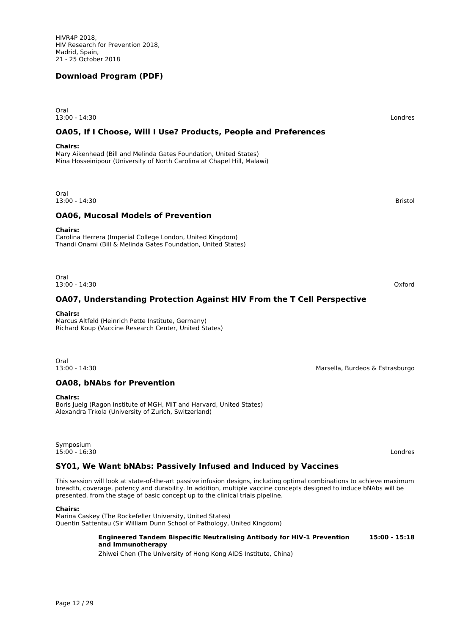13:00 - 14:30 Londres

# **OA05, If I Choose, Will I Use? Products, People and Preferences**

#### **Chairs:**

Oral

Mary Aikenhead (Bill and Melinda Gates Foundation, United States) Mina Hosseinipour (University of North Carolina at Chapel Hill, Malawi)

Oral 13:00 - 14:30 Bristol

# **OA06, Mucosal Models of Prevention**

#### **Chairs:**

Carolina Herrera (Imperial College London, United Kingdom) Thandi Onami (Bill & Melinda Gates Foundation, United States)

Oral 13:00 - 14:30 Oxford

# **OA07, Understanding Protection Against HIV From the T Cell Perspective**

#### **Chairs:**

Marcus Altfeld (Heinrich Pette Institute, Germany) Richard Koup (Vaccine Research Center, United States)

Oral<br>13:00 - 14:30

## **OA08, bNAbs for Prevention**

#### **Chairs:**

Boris Juelg (Ragon Institute of MGH, MIT and Harvard, United States) Alexandra Trkola (University of Zurich, Switzerland)

Symposium 15:00 - 16:30 Londres

# **SY01, We Want bNAbs: Passively Infused and Induced by Vaccines**

This session will look at state-of-the-art passive infusion designs, including optimal combinations to achieve maximum breadth, coverage, potency and durability. In addition, multiple vaccine concepts designed to induce bNAbs will be presented, from the stage of basic concept up to the clinical trials pipeline.

#### **Chairs:**

Page 12 / 29

Marina Caskey (The Rockefeller University, United States) Quentin Sattentau (Sir William Dunn School of Pathology, United Kingdom)

#### **Engineered Tandem Bispecific Neutralising Antibody for HIV-1 Prevention 15:00 - 15:18 and Immunotherapy**

Zhiwei Chen (The University of Hong Kong AIDS Institute, China)

Marsella, Burdeos & Estrasburgo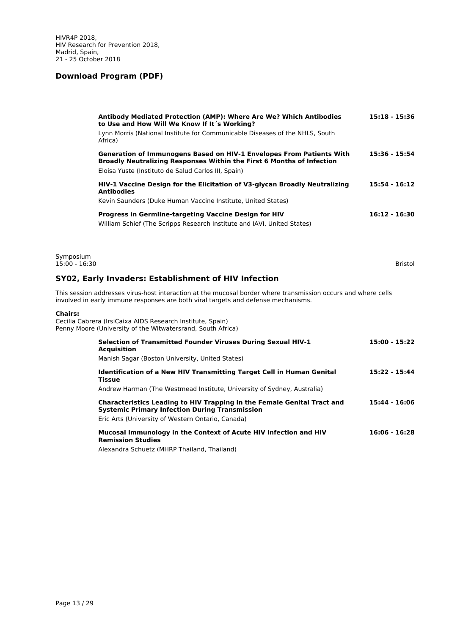|                              | Antibody Mediated Protection (AMP): Where Are We? Which Antibodies<br>to Use and How Will We Know If It's Working?                                                                                   | 15:18 - 15:36   |
|------------------------------|------------------------------------------------------------------------------------------------------------------------------------------------------------------------------------------------------|-----------------|
|                              | Lynn Morris (National Institute for Communicable Diseases of the NHLS, South<br>Africa)                                                                                                              |                 |
|                              | Generation of Immunogens Based on HIV-1 Envelopes From Patients With<br>Broadly Neutralizing Responses Within the First 6 Months of Infection<br>Eloisa Yuste (Instituto de Salud Carlos III, Spain) | 15:36 - 15:54   |
|                              | HIV-1 Vaccine Design for the Elicitation of V3-glycan Broadly Neutralizing<br><b>Antibodies</b><br>Kevin Saunders (Duke Human Vaccine Institute, United States)                                      | 15:54 - 16:12   |
|                              | Progress in Germline-targeting Vaccine Design for HIV<br>William Schief (The Scripps Research Institute and IAVI, United States)                                                                     | $16:12 - 16:30$ |
| Symposium<br>$15:00 - 16:30$ |                                                                                                                                                                                                      | Bristol         |
|                              | SY02, Early Invaders: Establishment of HIV Infection                                                                                                                                                 |                 |
|                              | This session addresses virus-host interaction at the mucosal border where transmission occurs and where cells<br>involved in early immune responses are both viral targets and defense mechanisms.   |                 |
| <b>Chairs:</b>               | Cecilia Cabrera (IrsiCaixa AIDS Research Institute, Spain)<br>Penny Moore (University of the Witwatersrand, South Africa)                                                                            |                 |
|                              | Selection of Transmitted Founder Viruses During Sexual HIV-1<br><b>Acquisition</b><br>Manish Sagar (Boston University, United States)                                                                | 15:00 - 15:22   |
|                              | Identification of a New HIV Transmitting Target Cell in Human Genital<br><b>Tissue</b>                                                                                                               | 15:22 - 15:44   |
|                              | Andrew Harman (The Westmead Institute, University of Sydney, Australia)                                                                                                                              |                 |
|                              | <b>Characteristics Leading to HIV Trapping in the Female Genital Tract and</b><br><b>Systemic Primary Infection During Transmission</b><br>Eric Arts (University of Western Ontario, Canada)         | 15:44 - 16:06   |
|                              | Mucosal Immunology in the Context of Acute HIV Infection and HIV                                                                                                                                     | $16:06 - 16:28$ |

**Remission Studies**

Alexandra Schuetz (MHRP Thailand, Thailand)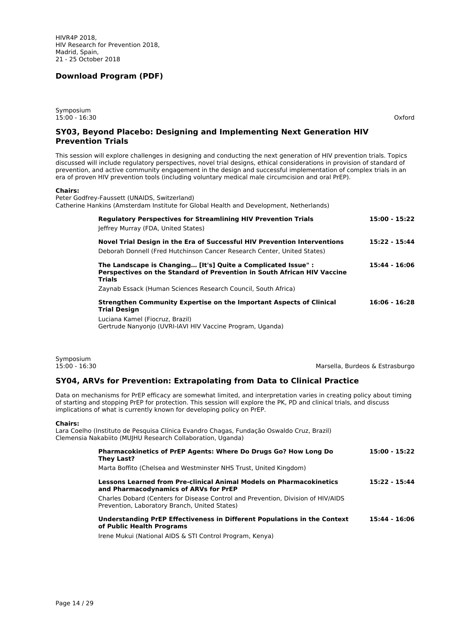Symposium 15:00 - 16:30 Oxford

## **SY03, Beyond Placebo: Designing and Implementing Next Generation HIV Prevention Trials**

This session will explore challenges in designing and conducting the next generation of HIV prevention trials. Topics discussed will include regulatory perspectives, novel trial designs, ethical considerations in provision of standard of prevention, and active community engagement in the design and successful implementation of complex trials in an era of proven HIV prevention tools (including voluntary medical male circumcision and oral PrEP).

#### **Chairs:**

Peter Godfrey-Faussett (UNAIDS, Switzerland) Catherine Hankins (Amsterdam Institute for Global Health and Development, Netherlands)

| <b>Requiatory Perspectives for Streamlining HIV Prevention Trials</b><br>Jeffrey Murray (FDA, United States)                                              | 15:00 - 15:22   |
|-----------------------------------------------------------------------------------------------------------------------------------------------------------|-----------------|
| Novel Trial Design in the Era of Successful HIV Prevention Interventions<br>Deborah Donnell (Fred Hutchinson Cancer Research Center, United States)       | 15:22 - 15:44   |
| The Landscape is Changing [It's] Quite a Complicated Issue" :<br>Perspectives on the Standard of Prevention in South African HIV Vaccine<br><b>Trials</b> | 15:44 - 16:06   |
| Zaynab Essack (Human Sciences Research Council, South Africa)                                                                                             |                 |
| Strengthen Community Expertise on the Important Aspects of Clinical<br><b>Trial Design</b>                                                                | $16:06 - 16:28$ |
| Luciana Kamel (Fiocruz, Brazil)<br>Gertrude Nanyonjo (UVRI-IAVI HIV Vaccine Program, Uganda)                                                              |                 |

Symposium<br>15:00 - 16:30

Marsella, Burdeos & Estrasburgo

## **SY04, ARVs for Prevention: Extrapolating from Data to Clinical Practice**

Data on mechanisms for PrEP efficacy are somewhat limited, and interpretation varies in creating policy about timing of starting and stopping PrEP for protection. This session will explore the PK, PD and clinical trials, and discuss implications of what is currently known for developing policy on PrEP.

#### **Chairs:**

Lara Coelho (Instituto de Pesquisa Clínica Evandro Chagas, Fundação Oswaldo Cruz, Brazil) Clemensia Nakabiito (MUJHU Research Collaboration, Uganda)

| <b>Pharmacokinetics of PrEP Agents: Where Do Drugs Go? How Long Do</b><br>They Last?                                              | $15:00 - 15:22$ |
|-----------------------------------------------------------------------------------------------------------------------------------|-----------------|
| Marta Boffito (Chelsea and Westminster NHS Trust, United Kingdom)                                                                 |                 |
| Lessons Learned from Pre-clinical Animal Models on Pharmacokinetics<br>and Pharmacodynamics of ARVs for PrEP                      | 15:22 - 15:44   |
| Charles Dobard (Centers for Disease Control and Prevention, Division of HIV/AIDS<br>Prevention, Laboratory Branch, United States) |                 |
| Understanding PrEP Effectiveness in Different Populations in the Context<br>of Public Health Programs                             | 15:44 - 16:06   |
| Irene Mukui (National AIDS & STI Control Program, Kenya)                                                                          |                 |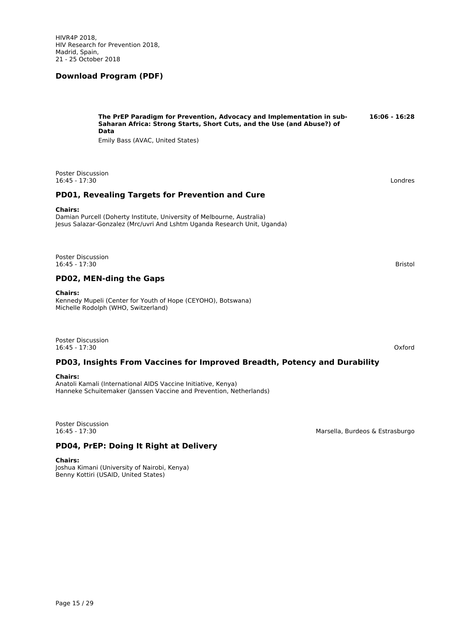**The PrEP Paradigm for Prevention, Advocacy and Implementation in sub- 16:06 - 16:28 Saharan Africa: Strong Starts, Short Cuts, and the Use (and Abuse?) of Data** Emily Bass (AVAC, United States)

Poster Discussion<br>16:45 - 17:30 16:45 - 17:30 Londres

## **PD01, Revealing Targets for Prevention and Cure**

#### **Chairs:**

Damian Purcell (Doherty Institute, University of Melbourne, Australia) Jesus Salazar-Gonzalez (Mrc/uvri And Lshtm Uganda Research Unit, Uganda)

Poster Discussion 16:45 - 17:30 Bristol

## **PD02, MEN-ding the Gaps**

#### **Chairs:**

Kennedy Mupeli (Center for Youth of Hope (CEYOHO), Botswana) Michelle Rodolph (WHO, Switzerland)

Poster Discussion 16:45 - 17:30 Oxford

#### **PD03, Insights From Vaccines for Improved Breadth, Potency and Durability**

#### **Chairs:**

Anatoli Kamali (International AIDS Vaccine Initiative, Kenya) Hanneke Schuitemaker (Janssen Vaccine and Prevention, Netherlands)

Poster Discussion<br>16:45 - 17:30

Marsella, Burdeos & Estrasburgo

## **PD04, PrEP: Doing It Right at Delivery**

#### **Chairs:**

Joshua Kimani (University of Nairobi, Kenya) Benny Kottiri (USAID, United States)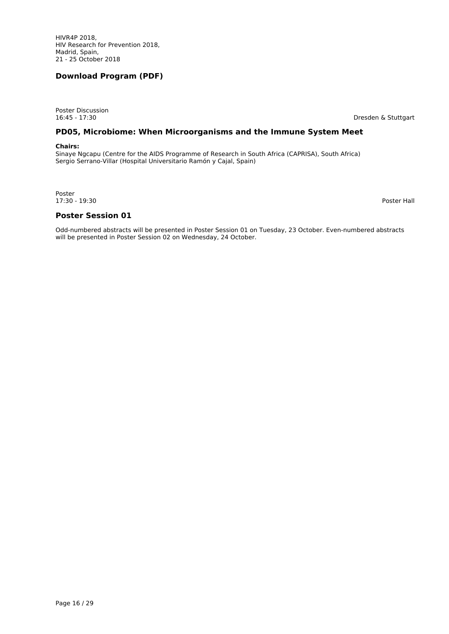Poster Discussion<br>16:45 - 17:30

Dresden & Stuttgart

## **PD05, Microbiome: When Microorganisms and the Immune System Meet**

#### **Chairs:**

Sinaye Ngcapu (Centre for the AIDS Programme of Research in South Africa (CAPRISA), South Africa) Sergio Serrano-Villar (Hospital Universitario Ramón y Cajal, Spain)

Poster 17:30 - 19:30 Poster Hall

**Poster Session 01**

Odd-numbered abstracts will be presented in Poster Session 01 on Tuesday, 23 October. Even-numbered abstracts will be presented in Poster Session 02 on Wednesday, 24 October.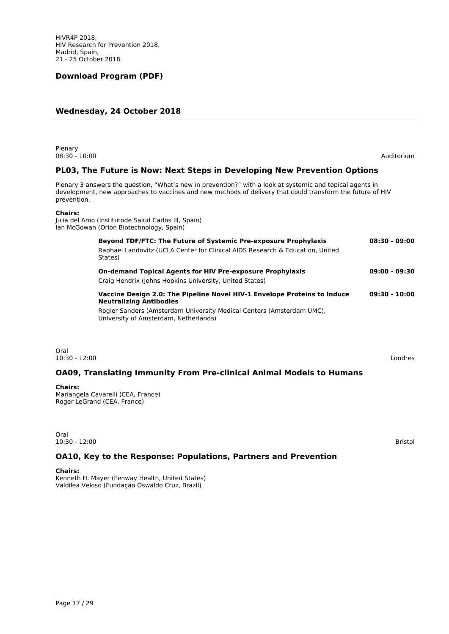## **Wednesday, 24 October 2018**

| Plenary<br>$08:30 - 10:00$                                                                                                                                                                                                             | Auditorium      |
|----------------------------------------------------------------------------------------------------------------------------------------------------------------------------------------------------------------------------------------|-----------------|
| PL03, The Future is Now: Next Steps in Developing New Prevention Options                                                                                                                                                               |                 |
| Plenary 3 answers the question, "What's new in prevention?" with a look at systemic and topical agents in<br>development, new approaches to vaccines and new methods of delivery that could transform the future of HIV<br>prevention. |                 |
| <b>Chairs:</b><br>Julia del Amo (Institutode Salud Carlos III, Spain)<br>Ian McGowan (Orion Biotechnology, Spain)                                                                                                                      |                 |
| Beyond TDF/FTC: The Future of Systemic Pre-exposure Prophylaxis<br>Raphael Landovitz (UCLA Center for Clinical AIDS Research & Education, United<br>States)                                                                            | $08:30 - 09:00$ |
| <b>On-demand Topical Agents for HIV Pre-exposure Prophylaxis</b><br>Craig Hendrix (Johns Hopkins University, United States)                                                                                                            | $09:00 - 09:30$ |
| Vaccine Design 2.0: The Pipeline Novel HIV-1 Envelope Proteins to Induce<br><b>Neutralizing Antibodies</b><br>Rogier Sanders (Amsterdam University Medical Centers (Amsterdam UMC),<br>University of Amsterdam, Netherlands)           | $09:30 - 10:00$ |
| Oral<br>$10:30 - 12:00$                                                                                                                                                                                                                | Londres         |
| <b>OA09, Translating Immunity From Pre-clinical Animal Models to Humans</b>                                                                                                                                                            |                 |

#### **Chairs:**

Mariangela Cavarelli (CEA, France) Roger LeGrand (CEA, France)

Oral 10:30 - 12:00 Bristol

## **OA10, Key to the Response: Populations, Partners and Prevention**

**Chairs:**

Kenneth H. Mayer (Fenway Health, United States) Valdilea Veloso (Fundação Oswaldo Cruz, Brazil)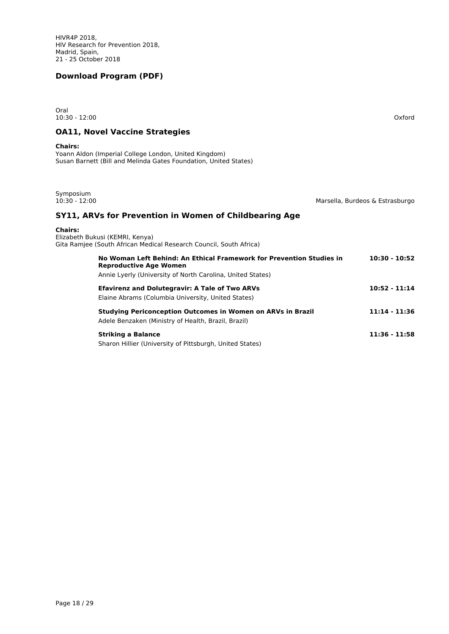| Oral<br>$10:30 - 12:00$                                                                                                                                             | Oxford                          |
|---------------------------------------------------------------------------------------------------------------------------------------------------------------------|---------------------------------|
| <b>OA11, Novel Vaccine Strategies</b>                                                                                                                               |                                 |
| <b>Chairs:</b><br>Yoann Aldon (Imperial College London, United Kingdom)<br>Susan Barnett (Bill and Melinda Gates Foundation, United States)                         |                                 |
| Symposium<br>$10:30 - 12:00$                                                                                                                                        | Marsella, Burdeos & Estrasburgo |
| SY11, ARVs for Prevention in Women of Childbearing Age                                                                                                              |                                 |
| <b>Chairs:</b><br>Elizabeth Bukusi (KEMRI, Kenya)<br>Gita Ramjee (South African Medical Research Council, South Africa)                                             |                                 |
| No Woman Left Behind: An Ethical Framework for Prevention Studies in<br><b>Reproductive Age Women</b><br>Annie Lyerly (University of North Carolina, United States) | $10:30 - 10:52$                 |
| <b>Efavirenz and Dolutegravir: A Tale of Two ARVs</b><br>Elaine Abrams (Columbia University, United States)                                                         | $10:52 - 11:14$                 |
| <b>Studying Periconception Outcomes in Women on ARVs in Brazil</b><br>Adele Benzaken (Ministry of Health, Brazil, Brazil)                                           | $11:14 - 11:36$                 |
| <b>Striking a Balance</b><br>Sharon Hillier (University of Pittsburgh, United States)                                                                               | $11:36 - 11:58$                 |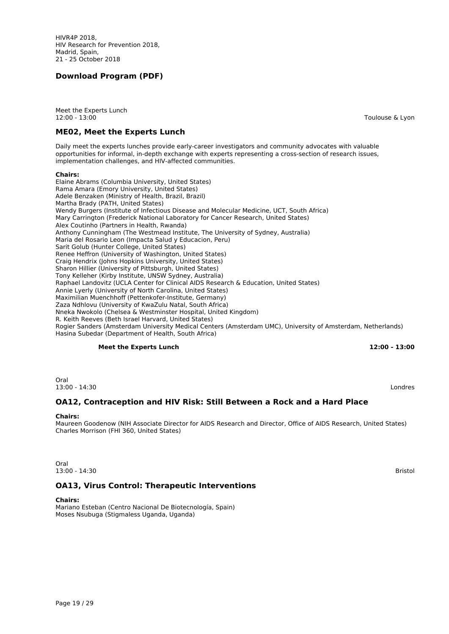HIVR4P 2018, HIV Research for Prevention 2018, Madrid, Spain, 21 - 25 October 2018

## **Download Program (PDF)**

Meet the Experts Lunch 12:00 - 13:00 Toulouse & Lyon

#### **ME02, Meet the Experts Lunch**

Daily meet the experts lunches provide early-career investigators and community advocates with valuable opportunities for informal, in-depth exchange with experts representing a cross-section of research issues, implementation challenges, and HIV-affected communities.

#### **Chairs:**

Elaine Abrams (Columbia University, United States) Rama Amara (Emory University, United States) Adele Benzaken (Ministry of Health, Brazil, Brazil) Martha Brady (PATH, United States) Wendy Burgers (Institute of Infectious Disease and Molecular Medicine, UCT, South Africa) Mary Carrington (Frederick National Laboratory for Cancer Research, United States) Alex Coutinho (Partners in Health, Rwanda) Anthony Cunningham (The Westmead Institute, The University of Sydney, Australia) Maria del Rosario Leon (Impacta Salud y Educacion, Peru) Sarit Golub (Hunter College, United States) Renee Heffron (University of Washington, United States) Craig Hendrix (Johns Hopkins University, United States) Sharon Hillier (University of Pittsburgh, United States) Tony Kelleher (Kirby Institute, UNSW Sydney, Australia) Raphael Landovitz (UCLA Center for Clinical AIDS Research & Education, United States) Annie Lyerly (University of North Carolina, United States) Maximilian Muenchhoff (Pettenkofer-Institute, Germany) Zaza Ndhlovu (University of KwaZulu Natal, South Africa) Nneka Nwokolo (Chelsea & Westminster Hospital, United Kingdom) R. Keith Reeves (Beth Israel Harvard, United States) Rogier Sanders (Amsterdam University Medical Centers (Amsterdam UMC), University of Amsterdam, Netherlands) Hasina Subedar (Department of Health, South Africa)

#### **Meet the Experts Lunch 12:00 - 13:00**

Oral<br>13:00 - 14:30 13:00 - 14:30 Londres

## **OA12, Contraception and HIV Risk: Still Between a Rock and a Hard Place**

#### **Chairs:**

Maureen Goodenow (NIH Associate Director for AIDS Research and Director, Office of AIDS Research, United States) Charles Morrison (FHI 360, United States)

Oral 13:00 - 14:30 Bristol

## **OA13, Virus Control: Therapeutic Interventions**

**Chairs:** Mariano Esteban (Centro Nacional De Biotecnología, Spain) Moses Nsubuga (Stigmaless Uganda, Uganda)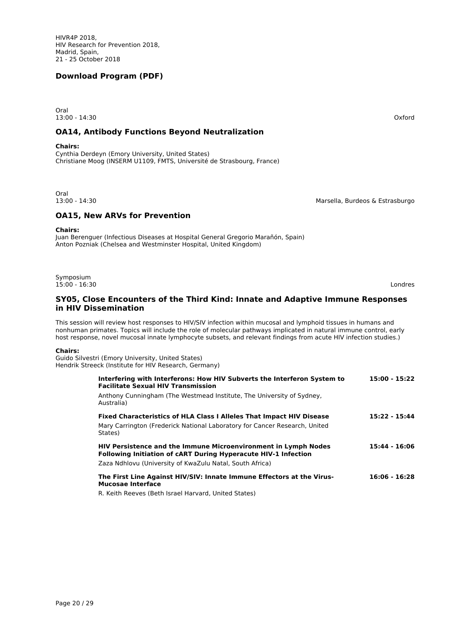Oral 13:00 - 14:30 Oxford

## **OA14, Antibody Functions Beyond Neutralization**

**Chairs:**

Cynthia Derdeyn (Emory University, United States) Christiane Moog (INSERM U1109, FMTS, Université de Strasbourg, France)

Oral<br>13:00 - 14:30

Marsella, Burdeos & Estrasburgo

## **OA15, New ARVs for Prevention**

**Chairs:**

Symposium

Juan Berenguer (Infectious Diseases at Hospital General Gregorio Marañón, Spain) Anton Pozniak (Chelsea and Westminster Hospital, United Kingdom)

15:00 - 16:30 Londres

## **SY05, Close Encounters of the Third Kind: Innate and Adaptive Immune Responses in HIV Dissemination**

This session will review host responses to HIV/SIV infection within mucosal and lymphoid tissues in humans and nonhuman primates. Topics will include the role of molecular pathways implicated in natural immune control, early host response, novel mucosal innate lymphocyte subsets, and relevant findings from acute HIV infection studies.)

#### **Chairs:**

Guido Silvestri (Emory University, United States) Hendrik Streeck (Institute for HIV Research, Germany)

| Interfering with Interferons: How HIV Subverts the Interferon System to<br><b>Facilitate Sexual HIV Transmission</b>                           | 15:00 - 15:22   |
|------------------------------------------------------------------------------------------------------------------------------------------------|-----------------|
| Anthony Cunningham (The Westmead Institute, The University of Sydney,<br>Australia)                                                            |                 |
| <b>Fixed Characteristics of HLA Class I Alleles That Impact HIV Disease</b>                                                                    | 15:22 - 15:44   |
| Mary Carrington (Frederick National Laboratory for Cancer Research, United<br>States)                                                          |                 |
| <b>HIV Persistence and the Immune Microenvironment in Lymph Nodes</b><br><b>Following Initiation of cART During Hyperacute HIV-1 Infection</b> | 15:44 - 16:06   |
| Zaza Ndhlovu (University of KwaZulu Natal, South Africa)                                                                                       |                 |
| The First Line Against HIV/SIV: Innate Immune Effectors at the Virus-<br><b>Mucosae Interface</b>                                              | $16:06 - 16:28$ |
| R. Keith Reeves (Beth Israel Harvard, United States)                                                                                           |                 |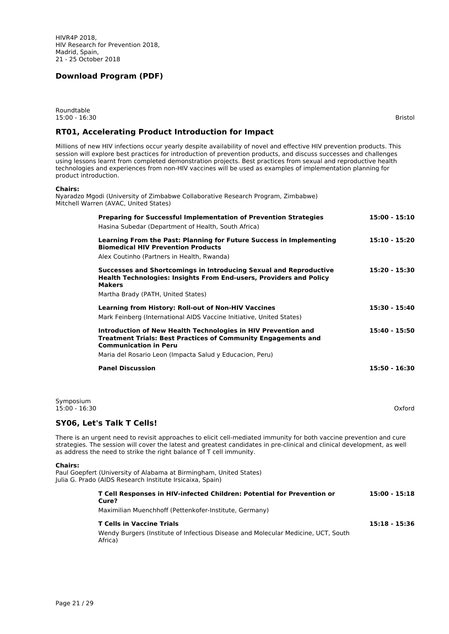Roundtable 15:00 - 16:30 Bristol

## **RT01, Accelerating Product Introduction for Impact**

Millions of new HIV infections occur yearly despite availability of novel and effective HIV prevention products. This session will explore best practices for introduction of prevention products, and discuss successes and challenges using lessons learnt from completed demonstration projects. Best practices from sexual and reproductive health technologies and experiences from non-HIV vaccines will be used as examples of implementation planning for product introduction.

#### **Chairs:**

Nyaradzo Mgodi (University of Zimbabwe Collaborative Research Program, Zimbabwe) Mitchell Warren (AVAC, United States)

| <b>Preparing for Successful Implementation of Prevention Strategies</b>                                                                                                                                                                                                                                               | $15:00 - 15:10$ |
|-----------------------------------------------------------------------------------------------------------------------------------------------------------------------------------------------------------------------------------------------------------------------------------------------------------------------|-----------------|
| Hasina Subedar (Department of Health, South Africa)                                                                                                                                                                                                                                                                   |                 |
| Learning From the Past: Planning for Future Success in Implementing<br><b>Biomedical HIV Prevention Products</b>                                                                                                                                                                                                      | $15:10 - 15:20$ |
| Alex Coutinho (Partners in Health, Rwanda)                                                                                                                                                                                                                                                                            |                 |
| Successes and Shortcomings in Introducing Sexual and Reproductive<br><b>Health Technologies: Insights From End-users, Providers and Policy</b><br><b>Makers</b>                                                                                                                                                       | $15:20 - 15:30$ |
| Martha Brady (PATH, United States)                                                                                                                                                                                                                                                                                    |                 |
| <b>Learning from History: Roll-out of Non-HIV Vaccines</b>                                                                                                                                                                                                                                                            | 15:30 - 15:40   |
| Mark Feinberg (International AIDS Vaccine Initiative, United States)                                                                                                                                                                                                                                                  |                 |
| Introduction of New Health Technologies in HIV Prevention and<br><b>Treatment Trials: Best Practices of Community Engagements and</b><br><b>Communication in Peru</b>                                                                                                                                                 | $15:40 - 15:50$ |
| Maria del Rosario Leon (Impacta Salud y Educacion, Peru)                                                                                                                                                                                                                                                              |                 |
| <b>Panel Discussion</b>                                                                                                                                                                                                                                                                                               | $15:50 - 16:30$ |
| Symposium                                                                                                                                                                                                                                                                                                             |                 |
| $15:00 - 16:30$                                                                                                                                                                                                                                                                                                       | Oxford          |
| <b>SY06, Let's Talk T Cells!</b>                                                                                                                                                                                                                                                                                      |                 |
| There is an urgent need to revisit approaches to elicit cell-mediated immunity for both vaccine prevention and cure<br>strategies. The session will cover the latest and greatest candidates in pre-clinical and clinical development, as well<br>as address the need to strike the right balance of T cell immunity. |                 |

#### **Chairs:**

Paul Goepfert (University of Alabama at Birmingham, United States) Julia G. Prado (AIDS Research Institute Irsicaixa, Spain)

| T Cell Responses in HIV-infected Children: Potential for Prevention or<br>Cure?              | $15:00 - 15:18$ |
|----------------------------------------------------------------------------------------------|-----------------|
| Maximilian Muenchhoff (Pettenkofer-Institute, Germany)                                       |                 |
| <b>T Cells in Vaccine Trials</b>                                                             | $15:18 - 15:36$ |
| Wendy Burgers (Institute of Infectious Disease and Molecular Medicine, UCT, South<br>Africa) |                 |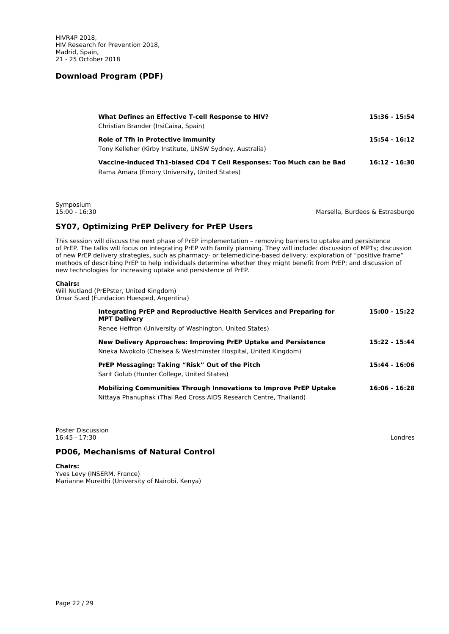| What Defines an Effective T-cell Response to HIV?<br>Christian Brander (IrsiCaixa, Spain)                            | 15:36 - 15:54   |
|----------------------------------------------------------------------------------------------------------------------|-----------------|
| Role of Tfh in Protective Immunity<br>Tony Kelleher (Kirby Institute, UNSW Sydney, Australia)                        | 15:54 - 16:12   |
| Vaccine-induced Th1-biased CD4 T Cell Responses: Too Much can be Bad<br>Rama Amara (Emory University, United States) | $16:12 - 16:30$ |

Symposium<br>15:00 - 16:30

Marsella, Burdeos & Estrasburgo

## **SY07, Optimizing PrEP Delivery for PrEP Users**

This session will discuss the next phase of PrEP implementation – removing barriers to uptake and persistence of PrEP. The talks will focus on integrating PrEP with family planning. They will include: discussion of MPTs; discussion of new PrEP delivery strategies, such as pharmacy- or telemedicine-based delivery; exploration of "positive frame" methods of describing PrEP to help individuals determine whether they might benefit from PrEP; and discussion of new technologies for increasing uptake and persistence of PrEP.

#### **Chairs:**

Will Nutland (PrEPster, United Kingdom) Omar Sued (Fundacion Huesped, Argentina)

| Integrating PrEP and Reproductive Health Services and Preparing for<br><b>MPT Delivery</b>                                                    | 15:00 - 15:22 |
|-----------------------------------------------------------------------------------------------------------------------------------------------|---------------|
| Renee Heffron (University of Washington, United States)                                                                                       |               |
| New Delivery Approaches: Improving PrEP Uptake and Persistence<br>Nneka Nwokolo (Chelsea & Westminster Hospital, United Kingdom)              | 15:22 - 15:44 |
| <b>PrEP Messaging: Taking "Risk" Out of the Pitch</b><br>Sarit Golub (Hunter College, United States)                                          | 15:44 - 16:06 |
| <b>Mobilizing Communities Through Innovations to Improve PrEP Uptake</b><br>Nittaya Phanuphak (Thai Red Cross AIDS Research Centre, Thailand) | 16:06 - 16:28 |

Poster Discussion 16:45 - 17:30 Londres

## **PD06, Mechanisms of Natural Control**

**Chairs:**

Yves Levy (INSERM, France) Marianne Mureithi (University of Nairobi, Kenya)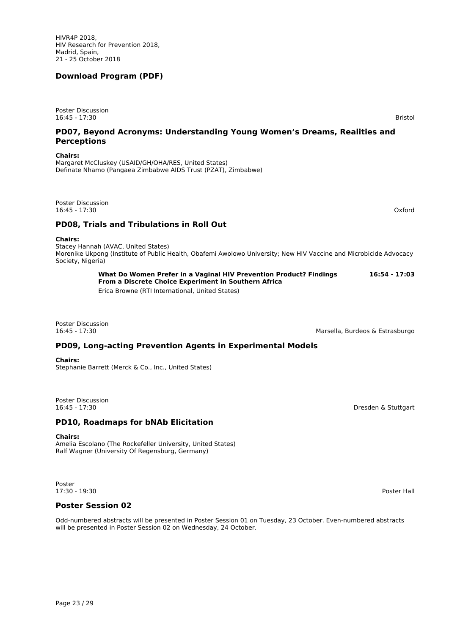HIVR4P 2018, HIV Research for Prevention 2018, Madrid, Spain, 21 - 25 October 2018

## **Download Program (PDF)**

Poster Discussion 16:45 - 17:30 Bristol

## **PD07, Beyond Acronyms: Understanding Young Women's Dreams, Realities and Perceptions**

**Chairs:**

Margaret McCluskey (USAID/GH/OHA/RES, United States) Definate Nhamo (Pangaea Zimbabwe AIDS Trust (PZAT), Zimbabwe)

Poster Discussion<br>16:45 - 17:30 16:45 - 17:30 Oxford

## **PD08, Trials and Tribulations in Roll Out**

#### **Chairs:**

Stacey Hannah (AVAC, United States) Morenike Ukpong (Institute of Public Health, Obafemi Awolowo University; New HIV Vaccine and Microbicide Advocacy Society, Nigeria)

> **What Do Women Prefer in a Vaginal HIV Prevention Product? Findings 16:54 - 17:03 From a Discrete Choice Experiment in Southern Africa**

Erica Browne (RTI International, United States)

Poster Discussion

16:45 - 17:30 Marsella, Burdeos & Estrasburgo

# **PD09, Long-acting Prevention Agents in Experimental Models**

#### **Chairs:** Stephanie Barrett (Merck & Co., Inc., United States)

Poster Discussion<br>16:45 - 17:30

## **PD10, Roadmaps for bNAb Elicitation**

#### **Chairs:**

Amelia Escolano (The Rockefeller University, United States) Ralf Wagner (University Of Regensburg, Germany)

Poster 17:30 - 19:30 Poster Hall

## **Poster Session 02**

Odd-numbered abstracts will be presented in Poster Session 01 on Tuesday, 23 October. Even-numbered abstracts will be presented in Poster Session 02 on Wednesday, 24 October.

Dresden & Stuttgart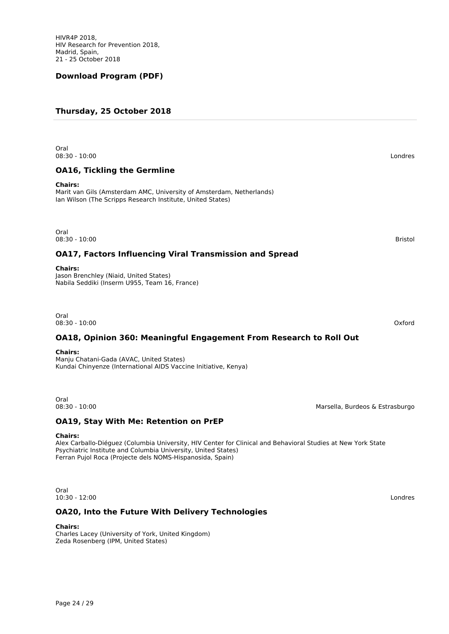HIVR4P 2018, HIV Research for Prevention 2018, Madrid, Spain, 21 - 25 October 2018

## **Download Program (PDF)**

## **Thursday, 25 October 2018**

Oral 08:30 - 10:00 Londres

## **OA16, Tickling the Germline**

#### **Chairs:**

Marit van Gils (Amsterdam AMC, University of Amsterdam, Netherlands) Ian Wilson (The Scripps Research Institute, United States)

Oral<br>08:30 - 10:00 08:30 - 10:00 Bristol

## **OA17, Factors Influencing Viral Transmission and Spread**

#### **Chairs:**

Jason Brenchley (Niaid, United States) Nabila Seddiki (Inserm U955, Team 16, France)

Oral 08:30 - 10:00 Oxford

## **OA18, Opinion 360: Meaningful Engagement From Research to Roll Out**

#### **Chairs:**

Manju Chatani-Gada (AVAC, United States) Kundai Chinyenze (International AIDS Vaccine Initiative, Kenya)

Oral<br>08:30 - 10:00

## **OA19, Stay With Me: Retention on PrEP**

#### **Chairs:**

Alex Carballo-Diéguez (Columbia University, HIV Center for Clinical and Behavioral Studies at New York State Psychiatric Institute and Columbia University, United States) Ferran Pujol Roca (Projecte dels NOMS-Hispanosida, Spain)

Oral 10:30 - 12:00 Londres

## **OA20, Into the Future With Delivery Technologies**

#### **Chairs:**

Charles Lacey (University of York, United Kingdom) Zeda Rosenberg (IPM, United States)

Marsella, Burdeos & Estrasburgo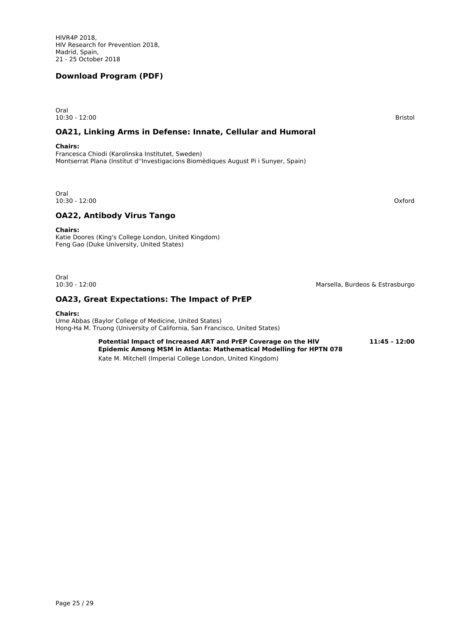Oral 10:30 - 12:00 Bristol

## **OA21, Linking Arms in Defense: Innate, Cellular and Humoral**

#### **Chairs:**

Francesca Chiodi (Karolinska Institutet, Sweden) Montserrat Plana (Institut d''Investigacions Biomèdiques August Pi i Sunyer, Spain)

Oral 10:30 - 12:00 Oxford

## **OA22, Antibody Virus Tango**

**Chairs:**

Katie Doores (King's College London, United Kingdom) Feng Gao (Duke University, United States)

Oral<br>10:30 - 12:00

## **OA23, Great Expectations: The Impact of PrEP**

#### **Chairs:**

Ume Abbas (Baylor College of Medicine, United States) Hong-Ha M. Truong (University of California, San Francisco, United States)

> Potential Impact of Increased ART and PrEP Coverage on the HIV **11:45 - 12:00 Epidemic Among MSM in Atlanta: Mathematical Modelling for HPTN 078** Kate M. Mitchell (Imperial College London, United Kingdom)

Page 25 / 29

Marsella, Burdeos & Estrasburgo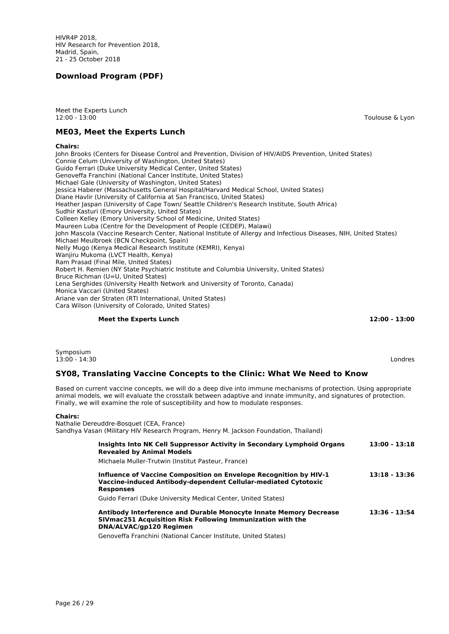HIVR4P 2018, HIV Research for Prevention 2018, Madrid, Spain, 21 - 25 October 2018

## **Download Program (PDF)**

Meet the Experts Lunch 12:00 - 13:00 Toulouse & Lyon

## **ME03, Meet the Experts Lunch**

#### **Chairs:**

John Brooks (Centers for Disease Control and Prevention, Division of HIV/AIDS Prevention, United States) Connie Celum (University of Washington, United States) Guido Ferrari (Duke University Medical Center, United States) Genoveffa Franchini (National Cancer Institute, United States) Michael Gale (University of Washington, United States) Jessica Haberer (Massachusetts General Hospital/Harvard Medical School, United States) Diane Havlir (University of California at San Francisco, United States) Heather Jaspan (University of Cape Town/ Seattle Children's Research Institute, South Africa) Sudhir Kasturi (Emory University, United States) Colleen Kelley (Emory University School of Medicine, United States) Maureen Luba (Centre for the Development of People (CEDEP), Malawi) John Mascola (Vaccine Research Center, National Institute of Allergy and Infectious Diseases, NIH, United States) Michael Meulbroek (BCN Checkpoint, Spain) Nelly Mugo (Kenya Medical Research Institute (KEMRI), Kenya) Wanjiru Mukoma (LVCT Health, Kenya) Ram Prasad (Final Mile, United States) Robert H. Remien (NY State Psychiatric Institute and Columbia University, United States) Bruce Richman (U=U, United States) Lena Serghides (University Health Network and University of Toronto, Canada) Monica Vaccari (United States) Ariane van der Straten (RTI International, United States) Cara Wilson (University of Colorado, United States)

#### **Meet the Experts Lunch 12:00 - 13:00**

Symposium<br>13:00 - 14:30 13:00 - 14:30 Londres

# **SY08, Translating Vaccine Concepts to the Clinic: What We Need to Know**

Based on current vaccine concepts, we will do a deep dive into immune mechanisms of protection. Using appropriate animal models, we will evaluate the crosstalk between adaptive and innate immunity, and signatures of protection. Finally, we will examine the role of susceptibility and how to modulate responses.

#### **Chairs:**

Nathalie Dereuddre-Bosquet (CEA, France) Sandhya Vasan (Military HIV Research Program, Henry M. Jackson Foundation, Thailand)

| Insights Into NK Cell Suppressor Activity in Secondary Lymphoid Organs<br><b>Revealed by Animal Models</b>                                                 | $13:00 - 13:18$ |
|------------------------------------------------------------------------------------------------------------------------------------------------------------|-----------------|
| Michaela Muller-Trutwin (Institut Pasteur, France)                                                                                                         |                 |
| Influence of Vaccine Composition on Envelope Recognition by HIV-1<br>Vaccine-induced Antibody-dependent Cellular-mediated Cytotoxic<br><b>Responses</b>    | $13:18 - 13:36$ |
| Guido Ferrari (Duke University Medical Center, United States)                                                                                              |                 |
| Antibody Interference and Durable Monocyte Innate Memory Decrease<br>SIVmac251 Acquisition Risk Following Immunization with the<br>DNA/ALVAC/qp120 Regimen | 13:36 - 13:54   |
| Genoveffa Franchini (National Cancer Institute, United States)                                                                                             |                 |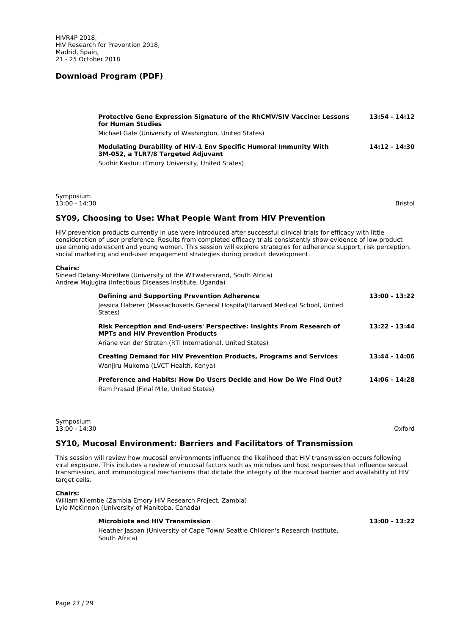|                              | Protective Gene Expression Signature of the RhCMV/SIV Vaccine: Lessons<br>for Human Studies<br>Michael Gale (University of Washington, United States)                                                                                                                                                                                                                                                                                             | 13:54 - 14:12 |
|------------------------------|---------------------------------------------------------------------------------------------------------------------------------------------------------------------------------------------------------------------------------------------------------------------------------------------------------------------------------------------------------------------------------------------------------------------------------------------------|---------------|
|                              | Modulating Durability of HIV-1 Env Specific Humoral Immunity With<br>3M-052, a TLR7/8 Targeted Adjuvant<br>Sudhir Kasturi (Emory University, United States)                                                                                                                                                                                                                                                                                       | 14:12 - 14:30 |
| Symposium<br>$13:00 - 14:30$ |                                                                                                                                                                                                                                                                                                                                                                                                                                                   | Bristol       |
|                              | SY09, Choosing to Use: What People Want from HIV Prevention                                                                                                                                                                                                                                                                                                                                                                                       |               |
|                              | HIV prevention products currently in use were introduced after successful clinical trials for efficacy with little<br>consideration of user preference. Results from completed efficacy trials consistently show evidence of low product<br>use among adolescent and young women. This session will explore strategies for adherence support, risk perception,<br>social marketing and end-user engagement strategies during product development. |               |

#### **Chairs:**

Sinead Delany-Moretlwe (University of the Witwatersrand, South Africa) Andrew Mujugira (Infectious Diseases Institute, Uganda)

| <b>Defining and Supporting Prevention Adherence</b><br>Jessica Haberer (Massachusetts General Hospital/Harvard Medical School, United<br>States) | $13:00 - 13:22$ |
|--------------------------------------------------------------------------------------------------------------------------------------------------|-----------------|
| Risk Perception and End-users' Perspective: Insights From Research of<br><b>MPTs and HIV Prevention Products</b>                                 | $13:22 - 13:44$ |
| Ariane van der Straten (RTI International, United States)                                                                                        |                 |
| <b>Creating Demand for HIV Prevention Products, Programs and Services</b><br>Wanjiru Mukoma (LVCT Health, Kenya)                                 | 13:44 - 14:06   |
| Preference and Habits: How Do Users Decide and How Do We Find Out?<br>Ram Prasad (Final Mile, United States)                                     | 14:06 - 14:28   |

Symposium 13:00 - 14:30 Oxford

## **SY10, Mucosal Environment: Barriers and Facilitators of Transmission**

This session will review how mucosal environments influence the likelihood that HIV transmission occurs following viral exposure. This includes a review of mucosal factors such as microbes and host responses that influence sexual transmission, and immunological mechanisms that dictate the integrity of the mucosal barrier and availability of HIV target cells.

#### **Chairs:**

William Kilembe (Zambia Emory HIV Research Project, Zambia) Lyle McKinnon (University of Manitoba, Canada)

#### **Microbiota and HIV Transmission 13:00 - 13:22**

Heather Jaspan (University of Cape Town/ Seattle Children's Research Institute, South Africa)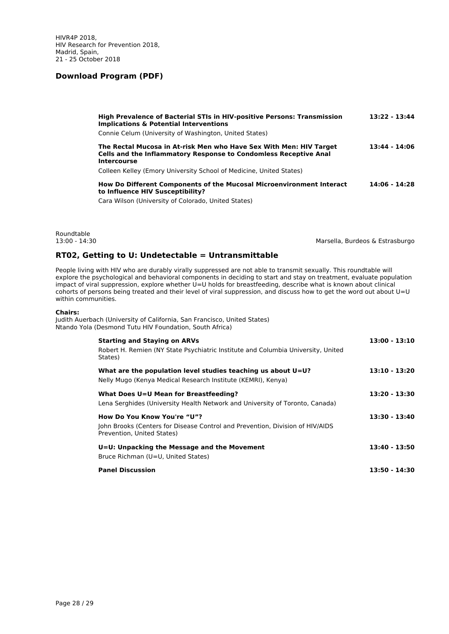| <b>High Prevalence of Bacterial STIs in HIV-positive Persons: Transmission</b><br><b>Implications &amp; Potential Interventions</b>                                 | 13:22 - 13:44 |
|---------------------------------------------------------------------------------------------------------------------------------------------------------------------|---------------|
| Connie Celum (University of Washington, United States)                                                                                                              |               |
| The Rectal Mucosa in At-risk Men who Have Sex With Men: HIV Target<br><b>Cells and the Inflammatory Response to Condomless Receptive Anal</b><br><b>Intercourse</b> | 13:44 - 14:06 |
| Colleen Kelley (Emory University School of Medicine, United States)                                                                                                 |               |
| How Do Different Components of the Mucosal Microenvironment Interact<br>to Influence HIV Susceptibility?                                                            | 14:06 - 14:28 |

Cara Wilson (University of Colorado, United States)

Roundtable<br>13:00 - 14:30

Marsella, Burdeos & Estrasburgo

## **RT02, Getting to U: Undetectable = Untransmittable**

People living with HIV who are durably virally suppressed are not able to transmit sexually. This roundtable will explore the psychological and behavioral components in deciding to start and stay on treatment, evaluate population impact of viral suppression, explore whether U=U holds for breastfeeding, describe what is known about clinical cohorts of persons being treated and their level of viral suppression, and discuss how to get the word out about U=U within communities.

#### **Chairs:**

Judith Auerbach (University of California, San Francisco, United States) Ntando Yola (Desmond Tutu HIV Foundation, South Africa)

| <b>Starting and Staying on ARVs</b><br>Robert H. Remien (NY State Psychiatric Institute and Columbia University, United<br>States)         | 13:00 - 13:10   |
|--------------------------------------------------------------------------------------------------------------------------------------------|-----------------|
| What are the population level studies teaching us about $U=U$ ?<br>Nelly Mugo (Kenya Medical Research Institute (KEMRI), Kenya)            | $13:10 - 13:20$ |
| What Does U=U Mean for Breastfeeding?<br>Lena Serghides (University Health Network and University of Toronto, Canada)                      | 13:20 - 13:30   |
| How Do You Know You're "U"?<br>John Brooks (Centers for Disease Control and Prevention, Division of HIV/AIDS<br>Prevention, United States) | $13:30 - 13:40$ |
| U=U: Unpacking the Message and the Movement<br>Bruce Richman (U=U, United States)                                                          | 13:40 - 13:50   |
| <b>Panel Discussion</b>                                                                                                                    | 13:50 - 14:30   |